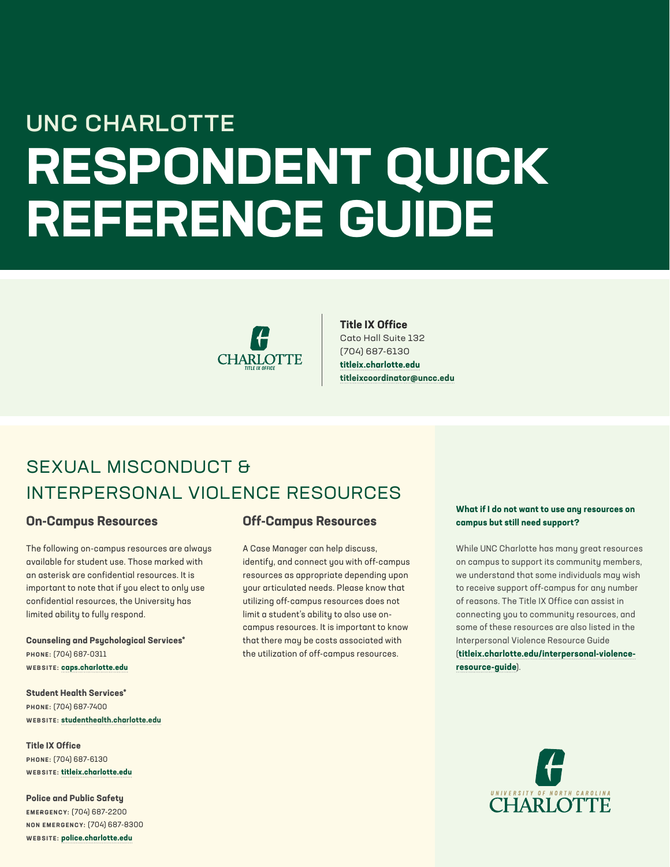# **RESPONDENT QUICK REFERENCE GUIDE** UNC CHARLOTTE



#### **Title IX Office**

Cato Hall Suite 132 (704) 687-6130 **[titleix.charlotte.e](http://titleix.charlotte.edu)du [titleixcoordinator@uncc.edu](mailto:titleixcoordinator%40uncc.edu?subject=)**

### SEXUAL MISCONDUCT & INTERPERSONAL VIOLENCE RESOURCES

#### **On-Campus Resources**

The following on-campus resources are always available for student use. Those marked with an asterisk are confidential resources. It is important to note that if you elect to only use confidential resources, the University has limited ability to fully respond.

**Counseling and Psychological Services\* PHONE:** (704) 687-0311 **WEBSITE: [caps.charlotte.e](http://caps.charlotte.edu)du**

**Student Health Services\* PHONE:** (704) 687-7400 **WEBSITE: [studenthealth.charlotte.e](http://studenthealth.charlotte.edu)du**

**Title IX Office PHONE:** (704) 687-6130 **WEBSITE: [titleix.charlotte.ed](http://titleix.charlotte.edu)u**

**Police and Public Safety EMERGENCY:** (704) 687-2200 **NON EMERGENCY:** (704) 687-8300 **WEBSITE: polic[e.charlotte.e](http://police.charlotte.edu)du**

#### **Off-Campus Resources**

A Case Manager can help discuss, identify, and connect you with off-campus resources as appropriate depending upon your articulated needs. Please know that utilizing off-campus resources does not limit a student's ability to also use oncampus resources. It is important to know that there may be costs associated with the utilization of off-campus resources.

#### **What if I do not want to use any resources on campus but still need support?**

While UNC Charlotte has many great resources on campus to support its community members, we understand that some individuals may wish to receive support off-campus for any number of reasons. The Title IX Office can assist in connecting you to community resources, and some of these resources are also listed in the Interpersonal Violence Resource Guide (**[titleix.charlotte.edu/interpersonal-violence](http://titleix.charlotte.edu/interpersonal-violence-resource-guide)[resource-guide](http://titleix.charlotte.edu/interpersonal-violence-resource-guide)**).